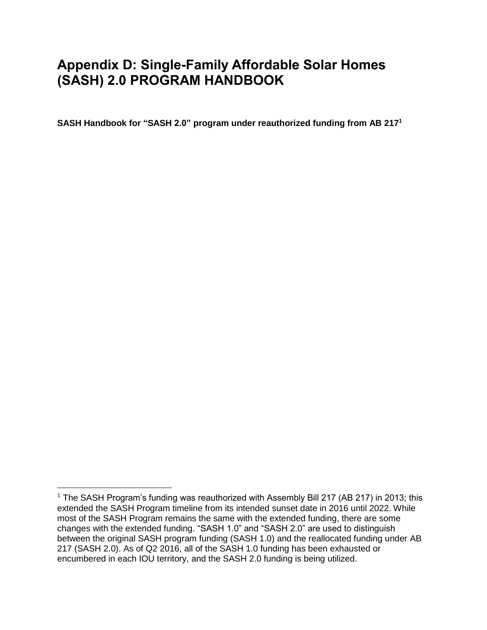# **Appendix D: Single-Family Affordable Solar Homes (SASH) 2.0 PROGRAM HANDBOOK**

**SASH Handbook for "SASH 2.0" program under reauthorized funding from AB 217<sup>1</sup>**

 $\overline{a}$ 

<sup>&</sup>lt;sup>1</sup> The SASH Program's funding was reauthorized with Assembly Bill 217 (AB 217) in 2013; this extended the SASH Program timeline from its intended sunset date in 2016 until 2022. While most of the SASH Program remains the same with the extended funding, there are some changes with the extended funding. "SASH 1.0" and "SASH 2.0" are used to distinguish between the original SASH program funding (SASH 1.0) and the reallocated funding under AB 217 (SASH 2.0). As of Q2 2016, all of the SASH 1.0 funding has been exhausted or encumbered in each IOU territory, and the SASH 2.0 funding is being utilized.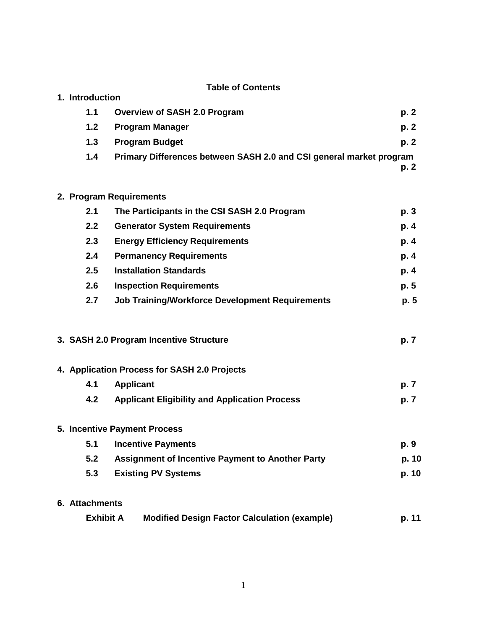|  |                              | <b>Table of Contents</b>                                            |       |
|--|------------------------------|---------------------------------------------------------------------|-------|
|  | 1. Introduction              |                                                                     |       |
|  | 1.1                          | <b>Overview of SASH 2.0 Program</b>                                 | p.2   |
|  | 1.2                          | <b>Program Manager</b>                                              | p.2   |
|  | 1.3                          | <b>Program Budget</b>                                               | p.2   |
|  | 1.4                          | Primary Differences between SASH 2.0 and CSI general market program | p. 2  |
|  |                              |                                                                     |       |
|  |                              | 2. Program Requirements                                             |       |
|  | 2.1                          | The Participants in the CSI SASH 2.0 Program                        | p. 3  |
|  | 2.2                          | <b>Generator System Requirements</b>                                | p. 4  |
|  | 2.3                          | <b>Energy Efficiency Requirements</b>                               | p. 4  |
|  | 2.4                          | <b>Permanency Requirements</b>                                      | p. 4  |
|  | 2.5                          | <b>Installation Standards</b>                                       | p. 4  |
|  | 2.6                          | <b>Inspection Requirements</b>                                      | p.5   |
|  | 2.7                          | <b>Job Training/Workforce Development Requirements</b>              | p. 5  |
|  |                              | 3. SASH 2.0 Program Incentive Structure                             | p. 7  |
|  |                              | 4. Application Process for SASH 2.0 Projects                        |       |
|  | 4.1                          | <b>Applicant</b>                                                    | p. 7  |
|  | 4.2                          | <b>Applicant Eligibility and Application Process</b>                | p. 7  |
|  | 5. Incentive Payment Process |                                                                     |       |
|  | 5.1                          | <b>Incentive Payments</b>                                           | p. 9  |
|  | 5.2                          | Assignment of Incentive Payment to Another Party                    | p. 10 |
|  | 5.3                          | <b>Existing PV Systems</b>                                          | p. 10 |
|  | 6. Attachments               |                                                                     |       |
|  | <b>Exhibit A</b>             | <b>Modified Design Factor Calculation (example)</b>                 | p. 11 |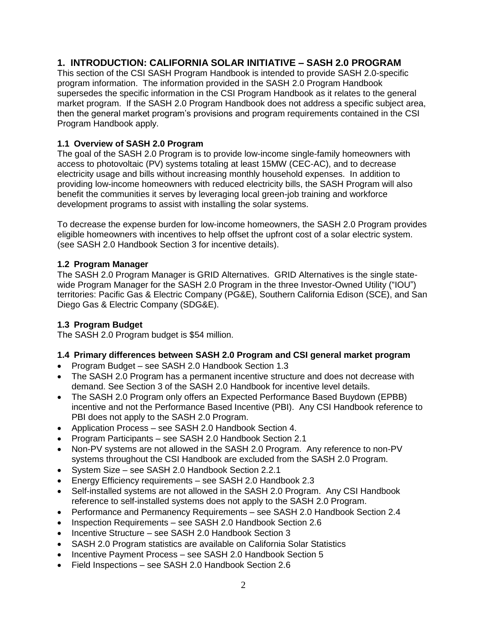# **1. INTRODUCTION: CALIFORNIA SOLAR INITIATIVE – SASH 2.0 PROGRAM**

This section of the CSI SASH Program Handbook is intended to provide SASH 2.0-specific program information. The information provided in the SASH 2.0 Program Handbook supersedes the specific information in the CSI Program Handbook as it relates to the general market program. If the SASH 2.0 Program Handbook does not address a specific subject area, then the general market program's provisions and program requirements contained in the CSI Program Handbook apply.

#### **1.1 Overview of SASH 2.0 Program**

The goal of the SASH 2.0 Program is to provide low-income single-family homeowners with access to photovoltaic (PV) systems totaling at least 15MW (CEC-AC), and to decrease electricity usage and bills without increasing monthly household expenses. In addition to providing low-income homeowners with reduced electricity bills, the SASH Program will also benefit the communities it serves by leveraging local green-job training and workforce development programs to assist with installing the solar systems.

To decrease the expense burden for low-income homeowners, the SASH 2.0 Program provides eligible homeowners with incentives to help offset the upfront cost of a solar electric system. (see SASH 2.0 Handbook Section 3 for incentive details).

#### **1.2 Program Manager**

The SASH 2.0 Program Manager is GRID Alternatives. GRID Alternatives is the single statewide Program Manager for the SASH 2.0 Program in the three Investor-Owned Utility ("IOU") territories: Pacific Gas & Electric Company (PG&E), Southern California Edison (SCE), and San Diego Gas & Electric Company (SDG&E).

## **1.3 Program Budget**

The SASH 2.0 Program budget is \$54 million.

#### **1.4 Primary differences between SASH 2.0 Program and CSI general market program**

- Program Budget see SASH 2.0 Handbook Section 1.3
- The SASH 2.0 Program has a permanent incentive structure and does not decrease with demand. See Section 3 of the SASH 2.0 Handbook for incentive level details.
- The SASH 2.0 Program only offers an Expected Performance Based Buydown (EPBB) incentive and not the Performance Based Incentive (PBI). Any CSI Handbook reference to PBI does not apply to the SASH 2.0 Program.
- Application Process see SASH 2.0 Handbook Section 4.
- Program Participants see SASH 2.0 Handbook Section 2.1
- Non-PV systems are not allowed in the SASH 2.0 Program. Any reference to non-PV systems throughout the CSI Handbook are excluded from the SASH 2.0 Program.
- System Size see SASH 2.0 Handbook Section 2.2.1
- Energy Efficiency requirements see SASH 2.0 Handbook 2.3
- Self-installed systems are not allowed in the SASH 2.0 Program. Any CSI Handbook reference to self-installed systems does not apply to the SASH 2.0 Program.
- Performance and Permanency Requirements see SASH 2.0 Handbook Section 2.4
- Inspection Requirements see SASH 2.0 Handbook Section 2.6
- Incentive Structure see SASH 2.0 Handbook Section 3
- SASH 2.0 Program statistics are available on California Solar Statistics
- Incentive Payment Process see SASH 2.0 Handbook Section 5
- Field Inspections see SASH 2.0 Handbook Section 2.6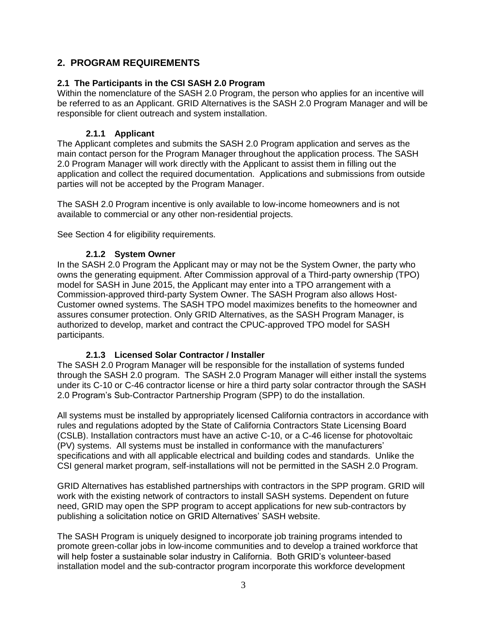# **2. PROGRAM REQUIREMENTS**

#### **2.1 The Participants in the CSI SASH 2.0 Program**

Within the nomenclature of the SASH 2.0 Program, the person who applies for an incentive will be referred to as an Applicant. GRID Alternatives is the SASH 2.0 Program Manager and will be responsible for client outreach and system installation.

#### **2.1.1 Applicant**

The Applicant completes and submits the SASH 2.0 Program application and serves as the main contact person for the Program Manager throughout the application process. The SASH 2.0 Program Manager will work directly with the Applicant to assist them in filling out the application and collect the required documentation. Applications and submissions from outside parties will not be accepted by the Program Manager.

The SASH 2.0 Program incentive is only available to low-income homeowners and is not available to commercial or any other non-residential projects.

See Section 4 for eligibility requirements.

## **2.1.2 System Owner**

In the SASH 2.0 Program the Applicant may or may not be the System Owner, the party who owns the generating equipment. After Commission approval of a Third-party ownership (TPO) model for SASH in June 2015, the Applicant may enter into a TPO arrangement with a Commission-approved third-party System Owner. The SASH Program also allows Host-Customer owned systems. The SASH TPO model maximizes benefits to the homeowner and assures consumer protection. Only GRID Alternatives, as the SASH Program Manager, is authorized to develop, market and contract the CPUC-approved TPO model for SASH participants.

#### **2.1.3 Licensed Solar Contractor / Installer**

The SASH 2.0 Program Manager will be responsible for the installation of systems funded through the SASH 2.0 program. The SASH 2.0 Program Manager will either install the systems under its C-10 or C-46 contractor license or hire a third party solar contractor through the SASH 2.0 Program's Sub-Contractor Partnership Program (SPP) to do the installation.

All systems must be installed by appropriately licensed California contractors in accordance with rules and regulations adopted by the State of California Contractors State Licensing Board (CSLB). Installation contractors must have an active C-10, or a C-46 license for photovoltaic (PV) systems. All systems must be installed in conformance with the manufacturers' specifications and with all applicable electrical and building codes and standards. Unlike the CSI general market program, self-installations will not be permitted in the SASH 2.0 Program.

GRID Alternatives has established partnerships with contractors in the SPP program. GRID will work with the existing network of contractors to install SASH systems. Dependent on future need, GRID may open the SPP program to accept applications for new sub-contractors by publishing a solicitation notice on GRID Alternatives' SASH website.

The SASH Program is uniquely designed to incorporate job training programs intended to promote green-collar jobs in low-income communities and to develop a trained workforce that will help foster a sustainable solar industry in California. Both GRID's volunteer-based installation model and the sub-contractor program incorporate this workforce development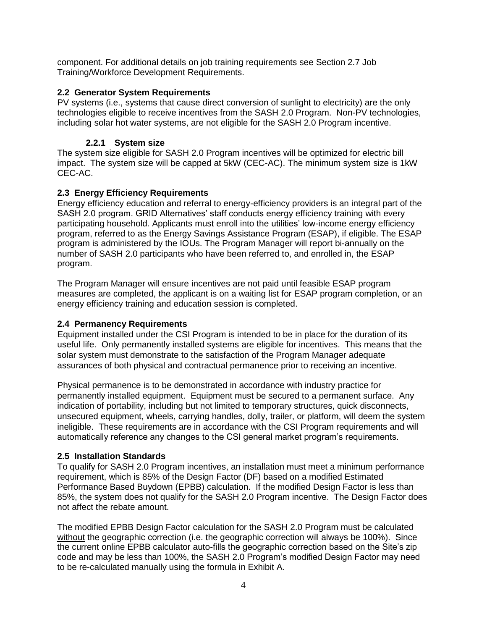component. For additional details on job training requirements see Section 2.7 Job Training/Workforce Development Requirements.

#### **2.2 Generator System Requirements**

PV systems (i.e., systems that cause direct conversion of sunlight to electricity) are the only technologies eligible to receive incentives from the SASH 2.0 Program. Non-PV technologies, including solar hot water systems, are not eligible for the SASH 2.0 Program incentive.

#### **2.2.1 System size**

The system size eligible for SASH 2.0 Program incentives will be optimized for electric bill impact. The system size will be capped at 5kW (CEC-AC). The minimum system size is 1kW CEC-AC.

#### **2.3 Energy Efficiency Requirements**

Energy efficiency education and referral to energy-efficiency providers is an integral part of the SASH 2.0 program. GRID Alternatives' staff conducts energy efficiency training with every participating household. Applicants must enroll into the utilities' low-income energy efficiency program, referred to as the Energy Savings Assistance Program (ESAP), if eligible. The ESAP program is administered by the IOUs. The Program Manager will report bi-annually on the number of SASH 2.0 participants who have been referred to, and enrolled in, the ESAP program.

The Program Manager will ensure incentives are not paid until feasible ESAP program measures are completed, the applicant is on a waiting list for ESAP program completion, or an energy efficiency training and education session is completed.

#### **2.4 Permanency Requirements**

Equipment installed under the CSI Program is intended to be in place for the duration of its useful life. Only permanently installed systems are eligible for incentives. This means that the solar system must demonstrate to the satisfaction of the Program Manager adequate assurances of both physical and contractual permanence prior to receiving an incentive.

Physical permanence is to be demonstrated in accordance with industry practice for permanently installed equipment. Equipment must be secured to a permanent surface. Any indication of portability, including but not limited to temporary structures, quick disconnects, unsecured equipment, wheels, carrying handles, dolly, trailer, or platform, will deem the system ineligible. These requirements are in accordance with the CSI Program requirements and will automatically reference any changes to the CSI general market program's requirements.

#### **2.5 Installation Standards**

To qualify for SASH 2.0 Program incentives, an installation must meet a minimum performance requirement, which is 85% of the Design Factor (DF) based on a modified Estimated Performance Based Buydown (EPBB) calculation. If the modified Design Factor is less than 85%, the system does not qualify for the SASH 2.0 Program incentive. The Design Factor does not affect the rebate amount.

The modified EPBB Design Factor calculation for the SASH 2.0 Program must be calculated without the geographic correction (i.e. the geographic correction will always be 100%). Since the current online EPBB calculator auto-fills the geographic correction based on the Site's zip code and may be less than 100%, the SASH 2.0 Program's modified Design Factor may need to be re-calculated manually using the formula in Exhibit A.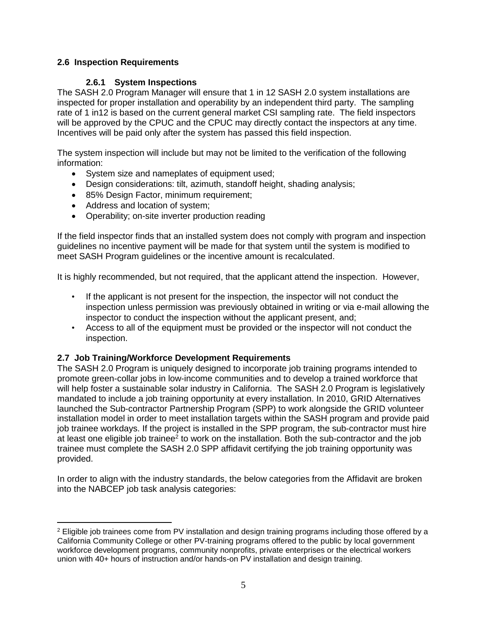## **2.6 Inspection Requirements**

#### **2.6.1 System Inspections**

The SASH 2.0 Program Manager will ensure that 1 in 12 SASH 2.0 system installations are inspected for proper installation and operability by an independent third party. The sampling rate of 1 in12 is based on the current general market CSI sampling rate. The field inspectors will be approved by the CPUC and the CPUC may directly contact the inspectors at any time. Incentives will be paid only after the system has passed this field inspection.

The system inspection will include but may not be limited to the verification of the following information:

- System size and nameplates of equipment used;
- Design considerations: tilt, azimuth, standoff height, shading analysis;
- 85% Design Factor, minimum requirement;
- Address and location of system;

 $\overline{a}$ 

• Operability; on-site inverter production reading

If the field inspector finds that an installed system does not comply with program and inspection guidelines no incentive payment will be made for that system until the system is modified to meet SASH Program guidelines or the incentive amount is recalculated.

It is highly recommended, but not required, that the applicant attend the inspection. However,

- If the applicant is not present for the inspection, the inspector will not conduct the inspection unless permission was previously obtained in writing or via e-mail allowing the inspector to conduct the inspection without the applicant present, and;
- Access to all of the equipment must be provided or the inspector will not conduct the inspection.

#### **2.7 Job Training/Workforce Development Requirements**

The SASH 2.0 Program is uniquely designed to incorporate job training programs intended to promote green-collar jobs in low-income communities and to develop a trained workforce that will help foster a sustainable solar industry in California. The SASH 2.0 Program is legislatively mandated to include a job training opportunity at every installation. In 2010, GRID Alternatives launched the Sub-contractor Partnership Program (SPP) to work alongside the GRID volunteer installation model in order to meet installation targets within the SASH program and provide paid job trainee workdays. If the project is installed in the SPP program, the sub-contractor must hire at least one eligible job trainee<sup>2</sup> to work on the installation. Both the sub-contractor and the job trainee must complete the SASH 2.0 SPP affidavit certifying the job training opportunity was provided.

In order to align with the industry standards, the below categories from the Affidavit are broken into the NABCEP job task analysis categories:

<sup>&</sup>lt;sup>2</sup> Eligible job trainees come from PV installation and design training programs including those offered by a California Community College or other PV-training programs offered to the public by local government workforce development programs, community nonprofits, private enterprises or the electrical workers union with 40+ hours of instruction and/or hands-on PV installation and design training.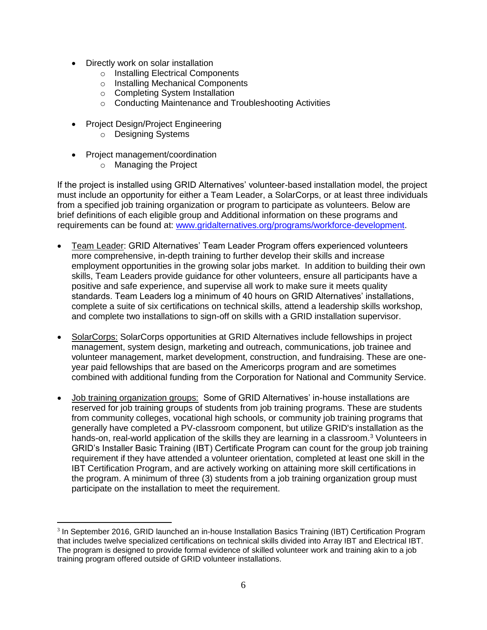- Directly work on solar installation
	- o Installing Electrical Components
	- o Installing Mechanical Components
	- o Completing System Installation
	- o Conducting Maintenance and Troubleshooting Activities
- Project Design/Project Engineering
	- o Designing Systems
- Project management/coordination

 $\overline{a}$ 

o Managing the Project

If the project is installed using GRID Alternatives' volunteer-based installation model, the project must include an opportunity for either a Team Leader, a SolarCorps, or at least three individuals from a specified job training organization or program to participate as volunteers. Below are brief definitions of each eligible group and Additional information on these programs and requirements can be found at: [www.gridalternatives.org/programs/workforce-development.](http://www.gridalternatives.org/programs/workforce-development)

- Team Leader: GRID Alternatives' Team Leader Program offers experienced volunteers more comprehensive, in-depth training to further develop their skills and increase employment opportunities in the growing solar jobs market. In addition to building their own skills, Team Leaders provide guidance for other volunteers, ensure all participants have a positive and safe experience, and supervise all work to make sure it meets quality standards. Team Leaders log a minimum of 40 hours on GRID Alternatives' installations, complete a suite of six certifications on technical skills, attend a leadership skills workshop, and complete two installations to sign-off on skills with a GRID installation supervisor.
- SolarCorps: SolarCorps opportunities at GRID Alternatives include fellowships in project management, system design, marketing and outreach, communications, job trainee and volunteer management, market development, construction, and fundraising. These are oneyear paid fellowships that are based on the Americorps program and are sometimes combined with additional funding from the Corporation for National and Community Service.
- Job training organization groups: Some of GRID Alternatives' in-house installations are reserved for job training groups of students from job training programs. These are students from community colleges, vocational high schools, or community job training programs that generally have completed a PV-classroom component, but utilize GRID's installation as the hands-on, real-world application of the skills they are learning in a classroom.<sup>3</sup> Volunteers in GRID's Installer Basic Training (IBT) Certificate Program can count for the group job training requirement if they have attended a volunteer orientation, completed at least one skill in the IBT Certification Program, and are actively working on attaining more skill certifications in the program. A minimum of three (3) students from a job training organization group must participate on the installation to meet the requirement.

<sup>&</sup>lt;sup>3</sup> In September 2016, GRID launched an in-house Installation Basics Training (IBT) Certification Program that includes twelve specialized certifications on technical skills divided into Array IBT and Electrical IBT. The program is designed to provide formal evidence of skilled volunteer work and training akin to a job training program offered outside of GRID volunteer installations.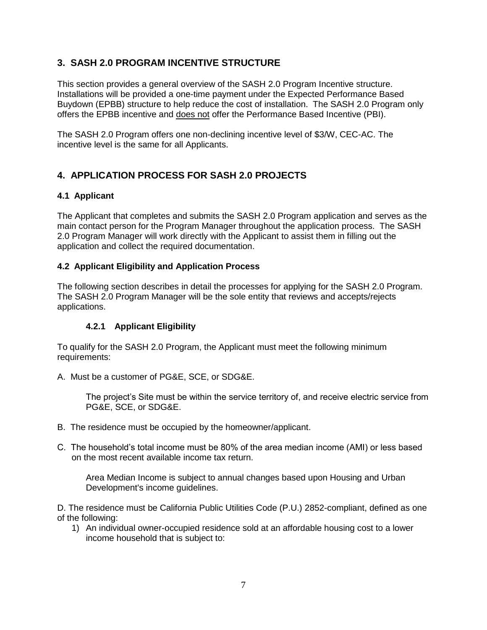# **3. SASH 2.0 PROGRAM INCENTIVE STRUCTURE**

This section provides a general overview of the SASH 2.0 Program Incentive structure. Installations will be provided a one-time payment under the Expected Performance Based Buydown (EPBB) structure to help reduce the cost of installation. The SASH 2.0 Program only offers the EPBB incentive and does not offer the Performance Based Incentive (PBI).

The SASH 2.0 Program offers one non-declining incentive level of \$3/W, CEC-AC. The incentive level is the same for all Applicants.

# **4. APPLICATION PROCESS FOR SASH 2.0 PROJECTS**

#### **4.1 Applicant**

The Applicant that completes and submits the SASH 2.0 Program application and serves as the main contact person for the Program Manager throughout the application process. The SASH 2.0 Program Manager will work directly with the Applicant to assist them in filling out the application and collect the required documentation.

#### **4.2 Applicant Eligibility and Application Process**

The following section describes in detail the processes for applying for the SASH 2.0 Program. The SASH 2.0 Program Manager will be the sole entity that reviews and accepts/rejects applications.

#### **4.2.1 Applicant Eligibility**

To qualify for the SASH 2.0 Program, the Applicant must meet the following minimum requirements:

A. Must be a customer of PG&E, SCE, or SDG&E.

The project's Site must be within the service territory of, and receive electric service from PG&E, SCE, or SDG&E.

- B. The residence must be occupied by the homeowner/applicant.
- C. The household's total income must be 80% of the area median income (AMI) or less based on the most recent available income tax return.

Area Median Income is subject to annual changes based upon Housing and Urban Development's income guidelines.

D. The residence must be California Public Utilities Code (P.U.) 2852-compliant, defined as one of the following:

1) An individual owner-occupied residence sold at an affordable housing cost to a lower income household that is subject to: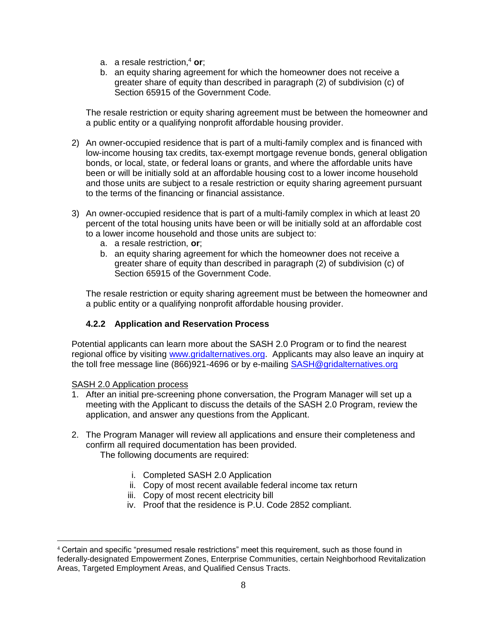- a. a resale restriction, <sup>4</sup> **or**;
- b. an equity sharing agreement for which the homeowner does not receive a greater share of equity than described in paragraph (2) of subdivision (c) of Section 65915 of the Government Code.

The resale restriction or equity sharing agreement must be between the homeowner and a public entity or a qualifying nonprofit affordable housing provider.

- 2) An owner-occupied residence that is part of a multi-family complex and is financed with low-income housing tax credits, tax-exempt mortgage revenue bonds, general obligation bonds, or local, state, or federal loans or grants, and where the affordable units have been or will be initially sold at an affordable housing cost to a lower income household and those units are subject to a resale restriction or equity sharing agreement pursuant to the terms of the financing or financial assistance.
- 3) An owner-occupied residence that is part of a multi-family complex in which at least 20 percent of the total housing units have been or will be initially sold at an affordable cost to a lower income household and those units are subject to:
	- a. a resale restriction, **or**;
	- b. an equity sharing agreement for which the homeowner does not receive a greater share of equity than described in paragraph (2) of subdivision (c) of Section 65915 of the Government Code.

The resale restriction or equity sharing agreement must be between the homeowner and a public entity or a qualifying nonprofit affordable housing provider.

## **4.2.2 Application and Reservation Process**

Potential applicants can learn more about the SASH 2.0 Program or to find the nearest regional office by visiting [www.gridalternatives.org.](http://www.gridalternatives.org/) Applicants may also leave an inquiry at the toll free message line (866)921-4696 or by e-mailing [SASH@gridalternatives.org](mailto:SASH@gridalternatives.org)

#### SASH 2.0 Application process

- 1. After an initial pre-screening phone conversation, the Program Manager will set up a meeting with the Applicant to discuss the details of the SASH 2.0 Program, review the application, and answer any questions from the Applicant.
- 2. The Program Manager will review all applications and ensure their completeness and confirm all required documentation has been provided. The following documents are required:
	- i. Completed SASH 2.0 Application
	- ii. Copy of most recent available federal income tax return
	- iii. Copy of most recent electricity bill
	- iv. Proof that the residence is P.U. Code 2852 compliant.

 $\overline{a}$ <sup>4</sup> Certain and specific "presumed resale restrictions" meet this requirement, such as those found in federally-designated Empowerment Zones, Enterprise Communities, certain Neighborhood Revitalization Areas, Targeted Employment Areas, and Qualified Census Tracts.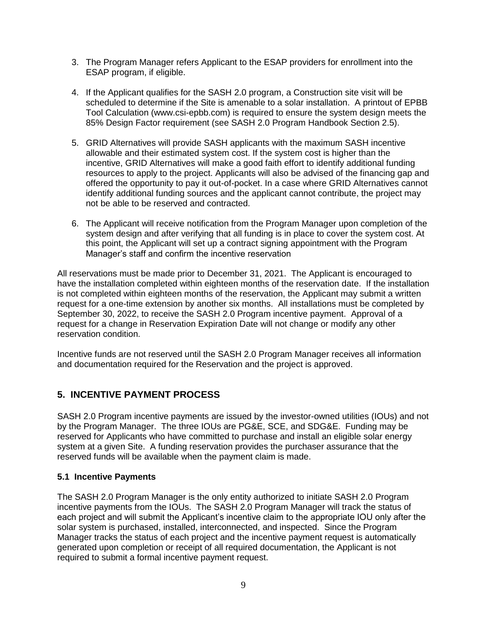- 3. The Program Manager refers Applicant to the ESAP providers for enrollment into the ESAP program, if eligible.
- 4. If the Applicant qualifies for the SASH 2.0 program, a Construction site visit will be scheduled to determine if the Site is amenable to a solar installation. A printout of EPBB Tool Calculation (www.csi-epbb.com) is required to ensure the system design meets the 85% Design Factor requirement (see SASH 2.0 Program Handbook Section 2.5).
- 5. GRID Alternatives will provide SASH applicants with the maximum SASH incentive allowable and their estimated system cost. If the system cost is higher than the incentive, GRID Alternatives will make a good faith effort to identify additional funding resources to apply to the project. Applicants will also be advised of the financing gap and offered the opportunity to pay it out-of-pocket. In a case where GRID Alternatives cannot identify additional funding sources and the applicant cannot contribute, the project may not be able to be reserved and contracted.
- 6. The Applicant will receive notification from the Program Manager upon completion of the system design and after verifying that all funding is in place to cover the system cost. At this point, the Applicant will set up a contract signing appointment with the Program Manager's staff and confirm the incentive reservation

All reservations must be made prior to December 31, 2021. The Applicant is encouraged to have the installation completed within eighteen months of the reservation date. If the installation is not completed within eighteen months of the reservation, the Applicant may submit a written request for a one-time extension by another six months. All installations must be completed by September 30, 2022, to receive the SASH 2.0 Program incentive payment. Approval of a request for a change in Reservation Expiration Date will not change or modify any other reservation condition.

Incentive funds are not reserved until the SASH 2.0 Program Manager receives all information and documentation required for the Reservation and the project is approved.

# **5. INCENTIVE PAYMENT PROCESS**

SASH 2.0 Program incentive payments are issued by the investor-owned utilities (IOUs) and not by the Program Manager. The three IOUs are PG&E, SCE, and SDG&E. Funding may be reserved for Applicants who have committed to purchase and install an eligible solar energy system at a given Site. A funding reservation provides the purchaser assurance that the reserved funds will be available when the payment claim is made.

#### **5.1 Incentive Payments**

The SASH 2.0 Program Manager is the only entity authorized to initiate SASH 2.0 Program incentive payments from the IOUs. The SASH 2.0 Program Manager will track the status of each project and will submit the Applicant's incentive claim to the appropriate IOU only after the solar system is purchased, installed, interconnected, and inspected. Since the Program Manager tracks the status of each project and the incentive payment request is automatically generated upon completion or receipt of all required documentation, the Applicant is not required to submit a formal incentive payment request.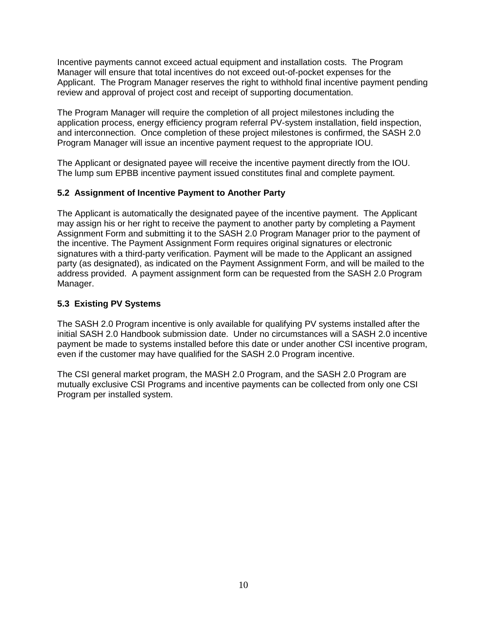Incentive payments cannot exceed actual equipment and installation costs. The Program Manager will ensure that total incentives do not exceed out-of-pocket expenses for the Applicant. The Program Manager reserves the right to withhold final incentive payment pending review and approval of project cost and receipt of supporting documentation.

The Program Manager will require the completion of all project milestones including the application process, energy efficiency program referral PV-system installation, field inspection, and interconnection. Once completion of these project milestones is confirmed, the SASH 2.0 Program Manager will issue an incentive payment request to the appropriate IOU.

The Applicant or designated payee will receive the incentive payment directly from the IOU. The lump sum EPBB incentive payment issued constitutes final and complete payment.

## **5.2 Assignment of Incentive Payment to Another Party**

The Applicant is automatically the designated payee of the incentive payment. The Applicant may assign his or her right to receive the payment to another party by completing a Payment Assignment Form and submitting it to the SASH 2.0 Program Manager prior to the payment of the incentive. The Payment Assignment Form requires original signatures or electronic signatures with a third-party verification. Payment will be made to the Applicant an assigned party (as designated), as indicated on the Payment Assignment Form, and will be mailed to the address provided. A payment assignment form can be requested from the SASH 2.0 Program Manager.

#### **5.3 Existing PV Systems**

The SASH 2.0 Program incentive is only available for qualifying PV systems installed after the initial SASH 2.0 Handbook submission date. Under no circumstances will a SASH 2.0 incentive payment be made to systems installed before this date or under another CSI incentive program, even if the customer may have qualified for the SASH 2.0 Program incentive.

The CSI general market program, the MASH 2.0 Program, and the SASH 2.0 Program are mutually exclusive CSI Programs and incentive payments can be collected from only one CSI Program per installed system.